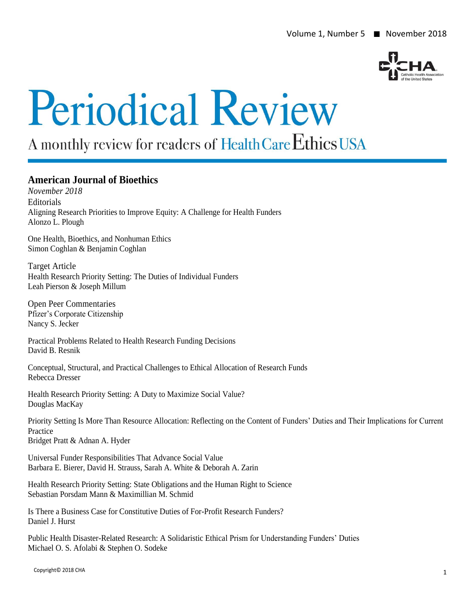

# **Periodical Review**

## A monthly review for readers of Health Care Ethics USA

### **American Journal of Bioethics**

*November 2018* **Editorials** Aligning Research Priorities to Improve Equity: A Challenge for Health Funders Alonzo L. Plough

One Health, Bioethics, and Nonhuman Ethics Simon Coghlan & Benjamin Coghlan

Target Article Health Research Priority Setting: The Duties of Individual Funders Leah Pierson & Joseph Millum

Open Peer Commentaries Pfizer's Corporate Citizenship Nancy S. Jecker

Practical Problems Related to Health Research Funding Decisions David B. Resnik

Conceptual, Structural, and Practical Challenges to Ethical Allocation of Research Funds Rebecca Dresser

Health Research Priority Setting: A Duty to Maximize Social Value? Douglas MacKay

Priority Setting Is More Than Resource Allocation: Reflecting on the Content of Funders' Duties and Their Implications for Current Practice

Bridget Pratt & Adnan A. Hyder

Universal Funder Responsibilities That Advance Social Value Barbara E. Bierer, David H. Strauss, Sarah A. White & Deborah A. Zarin

Health Research Priority Setting: State Obligations and the Human Right to Science Sebastian Porsdam Mann & Maximillian M. Schmid

Is There a Business Case for Constitutive Duties of For-Profit Research Funders? Daniel J. Hurst

Public Health Disaster-Related Research: A Solidaristic Ethical Prism for Understanding Funders' Duties Michael O. S. Afolabi & Stephen O. Sodeke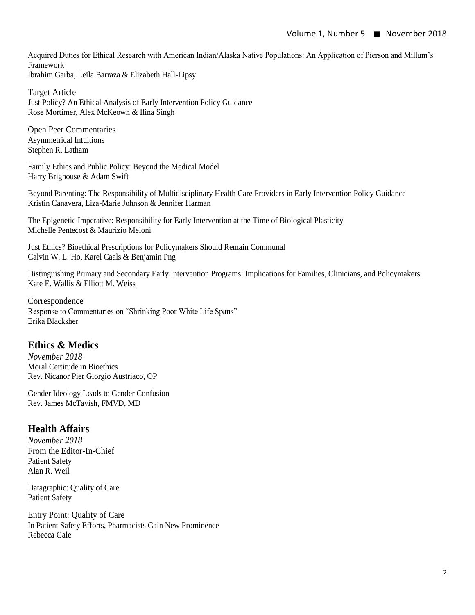Acquired Duties for Ethical Research with American Indian/Alaska Native Populations: An Application of Pierson and Millum's Framework Ibrahim Garba, Leila Barraza & Elizabeth Hall-Lipsy

Target Article Just Policy? An Ethical Analysis of Early Intervention Policy Guidance Rose Mortimer, Alex McKeown & Ilina Singh

Open Peer Commentaries Asymmetrical Intuitions Stephen R. Latham

Family Ethics and Public Policy: Beyond the Medical Model Harry Brighouse & Adam Swift

Beyond Parenting: The Responsibility of Multidisciplinary Health Care Providers in Early Intervention Policy Guidance Kristin Canavera, Liza-Marie Johnson & Jennifer Harman

The Epigenetic Imperative: Responsibility for Early Intervention at the Time of Biological Plasticity Michelle Pentecost & Maurizio Meloni

Just Ethics? Bioethical Prescriptions for Policymakers Should Remain Communal Calvin W. L. Ho, Karel Caals & Benjamin Png

Distinguishing Primary and Secondary Early Intervention Programs: Implications for Families, Clinicians, and Policymakers Kate E. Wallis & Elliott M. Weiss

Correspondence Response to Commentaries on "Shrinking Poor White Life Spans" Erika Blacksher

#### **Ethics & Medics**

*November 2018* Moral Certitude in Bioethics Rev. Nicanor Pier Giorgio Austriaco, OP

Gender Ideology Leads to Gender Confusion Rev. James McTavish, FMVD, MD

### **Health Affairs**

*November 2018* From the Editor-In-Chief Patient Safety Alan R. Weil

Datagraphic: Quality of Care Patient Safety

Entry Point: Quality of Care In Patient Safety Efforts, Pharmacists Gain New Prominence Rebecca Gale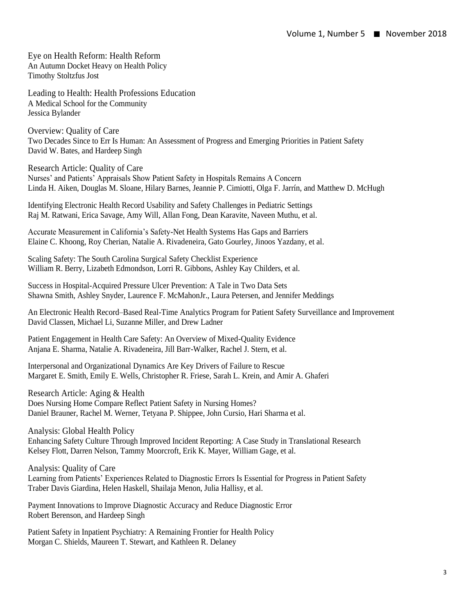Eye on Health Reform: Health Reform An Autumn Docket Heavy on Health Policy Timothy Stoltzfus Jost

Leading to Health: Health Professions Education A Medical School for the Community Jessica Bylander

Overview: Quality of Care Two Decades Since to Err Is Human: An Assessment of Progress and Emerging Priorities in Patient Safety David W. Bates, and Hardeep Singh

Research Article: Quality of Care Nurses' and Patients' Appraisals Show Patient Safety in Hospitals Remains A Concern Linda H. Aiken, Douglas M. Sloane, Hilary Barnes, Jeannie P. Cimiotti, Olga F. Jarrín, and Matthew D. McHugh

Identifying Electronic Health Record Usability and Safety Challenges in Pediatric Settings Raj M. Ratwani, Erica Savage, Amy Will, Allan Fong, Dean Karavite, Naveen Muthu, et al.

Accurate Measurement in California's Safety-Net Health Systems Has Gaps and Barriers Elaine C. Khoong, Roy Cherian, Natalie A. Rivadeneira, Gato Gourley, Jinoos Yazdany, et al.

Scaling Safety: The South Carolina Surgical Safety Checklist Experience William R. Berry, Lizabeth Edmondson, Lorri R. Gibbons, Ashley Kay Childers, et al.

Success in Hospital-Acquired Pressure Ulcer Prevention: A Tale in Two Data Sets Shawna Smith, Ashley Snyder, Laurence F. McMahonJr., Laura Petersen, and Jennifer Meddings

An Electronic Health Record–Based Real-Time Analytics Program for Patient Safety Surveillance and Improvement David Classen, Michael Li, Suzanne Miller, and Drew Ladner

Patient Engagement in Health Care Safety: An Overview of Mixed-Quality Evidence Anjana E. Sharma, Natalie A. Rivadeneira, Jill Barr-Walker, Rachel J. Stern, et al.

Interpersonal and Organizational Dynamics Are Key Drivers of Failure to Rescue Margaret E. Smith, Emily E. Wells, Christopher R. Friese, Sarah L. Krein, and Amir A. Ghaferi

Research Article: Aging & Health Does Nursing Home Compare Reflect Patient Safety in Nursing Homes? Daniel Brauner, Rachel M. Werner, Tetyana P. Shippee, John Cursio, Hari Sharma et al.

Analysis: Global Health Policy

Enhancing Safety Culture Through Improved Incident Reporting: A Case Study in Translational Research Kelsey Flott, Darren Nelson, Tammy Moorcroft, Erik K. Mayer, William Gage, et al.

Analysis: Quality of Care

Learning from Patients' Experiences Related to Diagnostic Errors Is Essential for Progress in Patient Safety Traber Davis Giardina, Helen Haskell, Shailaja Menon, Julia Hallisy, et al.

Payment Innovations to Improve Diagnostic Accuracy and Reduce Diagnostic Error Robert Berenson, and Hardeep Singh

Patient Safety in Inpatient Psychiatry: A Remaining Frontier for Health Policy Morgan C. Shields, Maureen T. Stewart, and Kathleen R. Delaney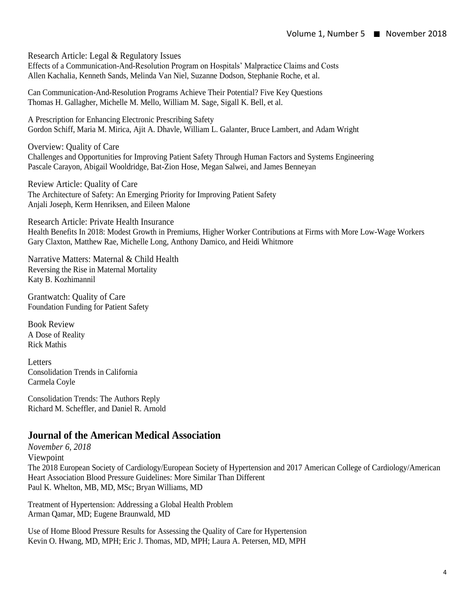Research Article: Legal & Regulatory Issues

Effects of a Communication-And-Resolution Program on Hospitals' Malpractice Claims and Costs Allen Kachalia, Kenneth Sands, Melinda Van Niel, Suzanne Dodson, Stephanie Roche, et al.

Can Communication-And-Resolution Programs Achieve Their Potential? Five Key Questions Thomas H. Gallagher, Michelle M. Mello, William M. Sage, Sigall K. Bell, et al.

A Prescription for Enhancing Electronic Prescribing Safety Gordon Schiff, Maria M. Mirica, Ajit A. Dhavle, William L. Galanter, Bruce Lambert, and Adam Wright

Overview: Quality of Care Challenges and Opportunities for Improving Patient Safety Through Human Factors and Systems Engineering Pascale Carayon, Abigail Wooldridge, Bat-Zion Hose, Megan Salwei, and James Benneyan

Review Article: Quality of Care The Architecture of Safety: An Emerging Priority for Improving Patient Safety Anjali Joseph, Kerm Henriksen, and Eileen Malone

Research Article: Private Health Insurance Health Benefits In 2018: Modest Growth in Premiums, Higher Worker Contributions at Firms with More Low-Wage Workers Gary Claxton, Matthew Rae, Michelle Long, Anthony Damico, and Heidi Whitmore

Narrative Matters: Maternal & Child Health Reversing the Rise in Maternal Mortality Katy B. Kozhimannil

Grantwatch: Quality of Care Foundation Funding for Patient Safety

Book Review A Dose of Reality Rick Mathis

**Letters** Consolidation Trends in California Carmela Coyle

Consolidation Trends: The Authors Reply Richard M. Scheffler, and Daniel R. Arnold

#### **Journal of the American Medical Association**

*November 6, 2018* Viewpoint The 2018 European Society of Cardiology/European Society of Hypertension and 2017 American College of Cardiology/American Heart Association Blood Pressure Guidelines: More Similar Than Different Paul K. Whelton, MB, MD, MSc; Bryan Williams, MD

Treatment of Hypertension: Addressing a Global Health Problem Arman Qamar, MD; Eugene Braunwald, MD

Use of Home Blood Pressure Results for Assessing the Quality of Care for Hypertension Kevin O. Hwang, MD, MPH; Eric J. Thomas, MD, MPH; Laura A. Petersen, MD, MPH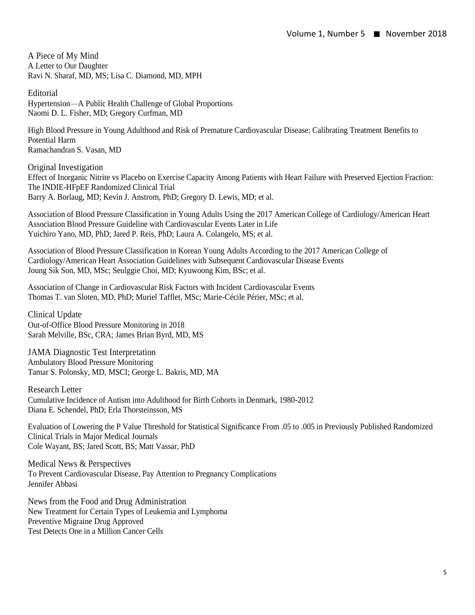A Piece of My Mind A Letter to Our Daughter Ravi N. Sharaf, MD, MS; Lisa C. Diamond, MD, MPH

**Editorial** 

Hypertension—A Public Health Challenge of Global Proportions Naomi D. L. Fisher, MD; Gregory Curfman, MD

High Blood Pressure in Young Adulthood and Risk of Premature Cardiovascular Disease: Calibrating Treatment Benefits to Potential Harm Ramachandran S. Vasan, MD

Original Investigation Effect of Inorganic Nitrite vs Placebo on Exercise Capacity Among Patients with Heart Failure with Preserved Ejection Fraction: The INDIE-HFpEF Randomized Clinical Trial Barry A. Borlaug, MD; Kevin J. Anstrom, PhD; Gregory D. Lewis, MD; et al.

Association of Blood Pressure Classification in Young Adults Using the 2017 American College of Cardiology/American Heart Association Blood Pressure Guideline with Cardiovascular Events Later in Life Yuichiro Yano, MD, PhD; Jared P. Reis, PhD; Laura A. Colangelo, MS; et al.

Association of Blood Pressure Classification in Korean Young Adults According to the 2017 American College of Cardiology/American Heart Association Guidelines with Subsequent Cardiovascular Disease Events Joung Sik Son, MD, MSc; Seulggie Choi, MD; Kyuwoong Kim, BSc; et al.

Association of Change in Cardiovascular Risk Factors with Incident Cardiovascular Events Thomas T. van Sloten, MD, PhD; Muriel Tafflet, MSc; Marie-Cécile Périer, MSc; et al.

Clinical Update Out-of-Office Blood Pressure Monitoring in 2018 Sarah Melville, BSc, CRA; James Brian Byrd, MD, MS

JAMA Diagnostic Test Interpretation Ambulatory Blood Pressure Monitoring Tamar S. Polonsky, MD, MSCI; George L. Bakris, MD, MA

Research Letter Cumulative Incidence of Autism into Adulthood for Birth Cohorts in Denmark, 1980-2012 Diana E. Schendel, PhD; Erla Thorsteinsson, MS

Evaluation of Lowering the P Value Threshold for Statistical Significance From .05 to .005 in Previously Published Randomized Clinical Trials in Major Medical Journals Cole Wayant, BS; Jared Scott, BS; Matt Vassar, PhD

Medical News & Perspectives To Prevent Cardiovascular Disease, Pay Attention to Pregnancy Complications Jennifer Abbasi

News from the Food and Drug Administration New Treatment for Certain Types of Leukemia and Lymphoma Preventive Migraine Drug Approved Test Detects One in a Million Cancer Cells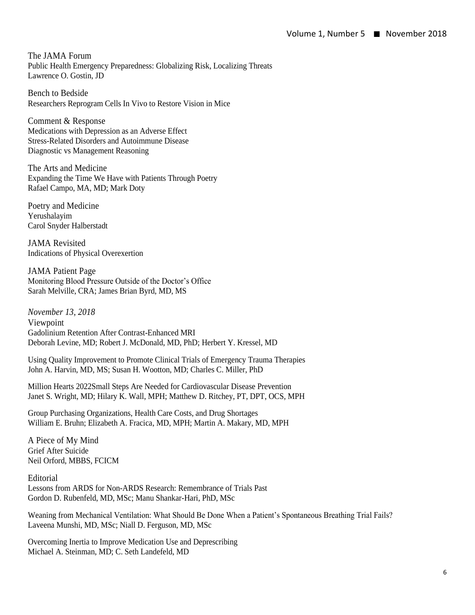The JAMA Forum Public Health Emergency Preparedness: Globalizing Risk, Localizing Threats Lawrence O. Gostin, JD

Bench to Bedside Researchers Reprogram Cells In Vivo to Restore Vision in Mice

Comment & Response Medications with Depression as an Adverse Effect Stress-Related Disorders and Autoimmune Disease Diagnostic vs Management Reasoning

The Arts and Medicine Expanding the Time We Have with Patients Through Poetry Rafael Campo, MA, MD; Mark Doty

Poetry and Medicine Yerushalayim Carol Snyder Halberstadt

JAMA Revisited Indications of Physical Overexertion

JAMA Patient Page Monitoring Blood Pressure Outside of the Doctor's Office Sarah Melville, CRA; James Brian Byrd, MD, MS

*November 13, 2018* Viewpoint Gadolinium Retention After Contrast-Enhanced MRI Deborah Levine, MD; Robert J. McDonald, MD, PhD; Herbert Y. Kressel, MD

Using Quality Improvement to Promote Clinical Trials of Emergency Trauma Therapies John A. Harvin, MD, MS; Susan H. Wootton, MD; Charles C. Miller, PhD

Million Hearts 2022Small Steps Are Needed for Cardiovascular Disease Prevention Janet S. Wright, MD; Hilary K. Wall, MPH; Matthew D. Ritchey, PT, DPT, OCS, MPH

Group Purchasing Organizations, Health Care Costs, and Drug Shortages William E. Bruhn; Elizabeth A. Fracica, MD, MPH; Martin A. Makary, MD, MPH

A Piece of My Mind Grief After Suicide Neil Orford, MBBS, FCICM

Editorial Lessons from ARDS for Non-ARDS Research: Remembrance of Trials Past Gordon D. Rubenfeld, MD, MSc; Manu Shankar-Hari, PhD, MSc

Weaning from Mechanical Ventilation: What Should Be Done When a Patient's Spontaneous Breathing Trial Fails? Laveena Munshi, MD, MSc; Niall D. Ferguson, MD, MSc

Overcoming Inertia to Improve Medication Use and Deprescribing Michael A. Steinman, MD; C. Seth Landefeld, MD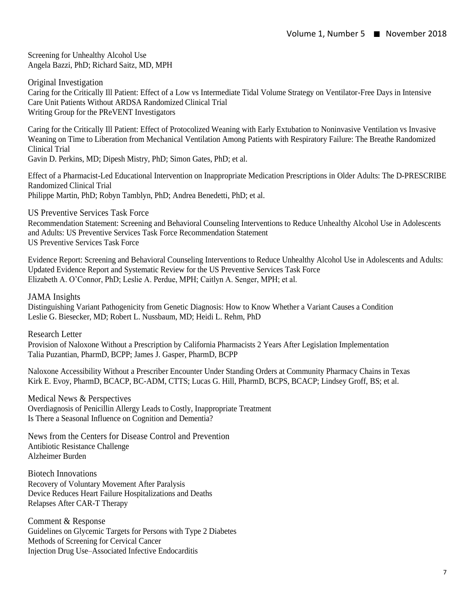Screening for Unhealthy Alcohol Use Angela Bazzi, PhD; Richard Saitz, MD, MPH

Original Investigation Caring for the Critically Ill Patient: Effect of a Low vs Intermediate Tidal Volume Strategy on Ventilator-Free Days in Intensive Care Unit Patients Without ARDSA Randomized Clinical Trial Writing Group for the PReVENT Investigators

Caring for the Critically Ill Patient: Effect of Protocolized Weaning with Early Extubation to Noninvasive Ventilation vs Invasive Weaning on Time to Liberation from Mechanical Ventilation Among Patients with Respiratory Failure: The Breathe Randomized Clinical Trial

Gavin D. Perkins, MD; Dipesh Mistry, PhD; Simon Gates, PhD; et al.

Effect of a Pharmacist-Led Educational Intervention on Inappropriate Medication Prescriptions in Older Adults: The D-PRESCRIBE Randomized Clinical Trial Philippe Martin, PhD; Robyn Tamblyn, PhD; Andrea Benedetti, PhD; et al.

US Preventive Services Task Force

Recommendation Statement: Screening and Behavioral Counseling Interventions to Reduce Unhealthy Alcohol Use in Adolescents and Adults: US Preventive Services Task Force Recommendation Statement US Preventive Services Task Force

Evidence Report: Screening and Behavioral Counseling Interventions to Reduce Unhealthy Alcohol Use in Adolescents and Adults: Updated Evidence Report and Systematic Review for the US Preventive Services Task Force Elizabeth A. O'Connor, PhD; Leslie A. Perdue, MPH; Caitlyn A. Senger, MPH; et al.

JAMA Insights

Distinguishing Variant Pathogenicity from Genetic Diagnosis: How to Know Whether a Variant Causes a Condition Leslie G. Biesecker, MD; Robert L. Nussbaum, MD; Heidi L. Rehm, PhD

Research Letter

Provision of Naloxone Without a Prescription by California Pharmacists 2 Years After Legislation Implementation Talia Puzantian, PharmD, BCPP; James J. Gasper, PharmD, BCPP

Naloxone Accessibility Without a Prescriber Encounter Under Standing Orders at Community Pharmacy Chains in Texas Kirk E. Evoy, PharmD, BCACP, BC-ADM, CTTS; Lucas G. Hill, PharmD, BCPS, BCACP; Lindsey Groff, BS; et al.

Medical News & Perspectives Overdiagnosis of Penicillin Allergy Leads to Costly, Inappropriate Treatment Is There a Seasonal Influence on Cognition and Dementia?

News from the Centers for Disease Control and Prevention Antibiotic Resistance Challenge Alzheimer Burden

Biotech Innovations Recovery of Voluntary Movement After Paralysis Device Reduces Heart Failure Hospitalizations and Deaths Relapses After CAR-T Therapy

Comment & Response Guidelines on Glycemic Targets for Persons with Type 2 Diabetes Methods of Screening for Cervical Cancer Injection Drug Use–Associated Infective Endocarditis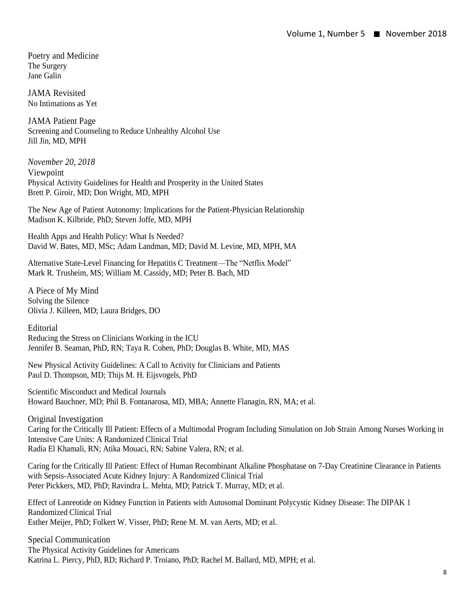Poetry and Medicine The Surgery Jane Galin

JAMA Revisited No Intimations as Yet

JAMA Patient Page Screening and Counseling to Reduce Unhealthy Alcohol Use Jill Jin, MD, MPH

*November 20, 2018* Viewpoint Physical Activity Guidelines for Health and Prosperity in the United States Brett P. Giroir, MD; Don Wright, MD, MPH

The New Age of Patient Autonomy: Implications for the Patient-Physician Relationship Madison K. Kilbride, PhD; Steven Joffe, MD, MPH

Health Apps and Health Policy: What Is Needed? David W. Bates, MD, MSc; Adam Landman, MD; David M. Levine, MD, MPH, MA

Alternative State-Level Financing for Hepatitis C Treatment—The "Netflix Model" Mark R. Trusheim, MS; William M. Cassidy, MD; Peter B. Bach, MD

A Piece of My Mind Solving the Silence Olivia J. Killeen, MD; Laura Bridges, DO

Editorial Reducing the Stress on Clinicians Working in the ICU

Jennifer B. Seaman, PhD, RN; Taya R. Cohen, PhD; Douglas B. White, MD, MAS

New Physical Activity Guidelines: A Call to Activity for Clinicians and Patients Paul D. Thompson, MD; Thijs M. H. Eijsvogels, PhD

Scientific Misconduct and Medical Journals Howard Bauchner, MD; Phil B. Fontanarosa, MD, MBA; Annette Flanagin, RN, MA; et al.

Original Investigation Caring for the Critically Ill Patient: Effects of a Multimodal Program Including Simulation on Job Strain Among Nurses Working in Intensive Care Units: A Randomized Clinical Trial Radia El Khamali, RN; Atika Mouaci, RN; Sabine Valera, RN; et al.

Caring for the Critically Ill Patient: Effect of Human Recombinant Alkaline Phosphatase on 7-Day Creatinine Clearance in Patients with Sepsis-Associated Acute Kidney Injury: A Randomized Clinical Trial Peter Pickkers, MD, PhD; Ravindra L. Mehta, MD; Patrick T. Murray, MD; et al.

Effect of Lanreotide on Kidney Function in Patients with Autosomal Dominant Polycystic Kidney Disease: The DIPAK 1 Randomized Clinical Trial Esther Meijer, PhD; Folkert W. Visser, PhD; Rene M. M. van Aerts, MD; et al.

Special Communication The Physical Activity Guidelines for Americans Katrina L. Piercy, PhD, RD; Richard P. Troiano, PhD; Rachel M. Ballard, MD, MPH; et al.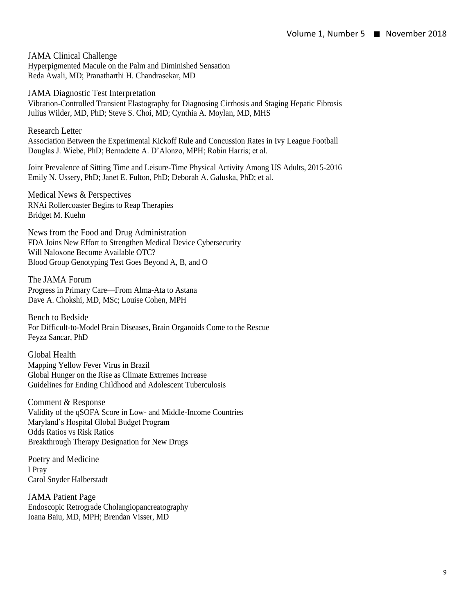JAMA Clinical Challenge Hyperpigmented Macule on the Palm and Diminished Sensation Reda Awali, MD; Pranatharthi H. Chandrasekar, MD

JAMA Diagnostic Test Interpretation Vibration-Controlled Transient Elastography for Diagnosing Cirrhosis and Staging Hepatic Fibrosis Julius Wilder, MD, PhD; Steve S. Choi, MD; Cynthia A. Moylan, MD, MHS

Research Letter Association Between the Experimental Kickoff Rule and Concussion Rates in Ivy League Football Douglas J. Wiebe, PhD; Bernadette A. D'Alonzo, MPH; Robin Harris; et al.

Joint Prevalence of Sitting Time and Leisure-Time Physical Activity Among US Adults, 2015-2016 Emily N. Ussery, PhD; Janet E. Fulton, PhD; Deborah A. Galuska, PhD; et al.

Medical News & Perspectives RNAi Rollercoaster Begins to Reap Therapies Bridget M. Kuehn

News from the Food and Drug Administration FDA Joins New Effort to Strengthen Medical Device Cybersecurity Will Naloxone Become Available OTC? Blood Group Genotyping Test Goes Beyond A, B, and O

The JAMA Forum Progress in Primary Care—From Alma-Ata to Astana Dave A. Chokshi, MD, MSc; Louise Cohen, MPH

Bench to Bedside For Difficult-to-Model Brain Diseases, Brain Organoids Come to the Rescue Feyza Sancar, PhD

Global Health Mapping Yellow Fever Virus in Brazil Global Hunger on the Rise as Climate Extremes Increase Guidelines for Ending Childhood and Adolescent Tuberculosis

Comment & Response Validity of the qSOFA Score in Low- and Middle-Income Countries Maryland's Hospital Global Budget Program Odds Ratios vs Risk Ratios Breakthrough Therapy Designation for New Drugs

Poetry and Medicine I Pray Carol Snyder Halberstadt

JAMA Patient Page Endoscopic Retrograde Cholangiopancreatography Ioana Baiu, MD, MPH; Brendan Visser, MD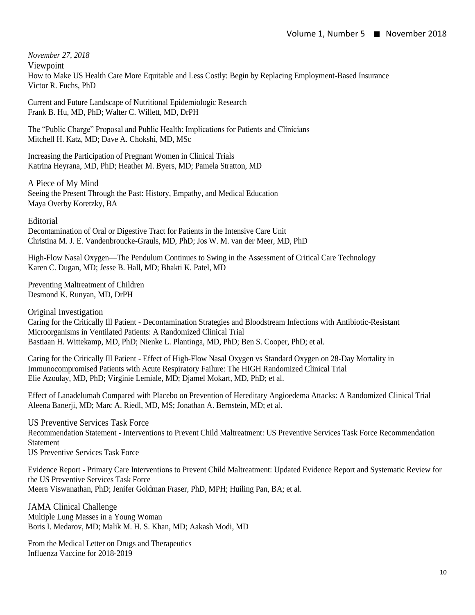*November 27, 2018*

Viewpoint How to Make US Health Care More Equitable and Less Costly: Begin by Replacing Employment-Based Insurance Victor R. Fuchs, PhD

Current and Future Landscape of Nutritional Epidemiologic Research Frank B. Hu, MD, PhD; Walter C. Willett, MD, DrPH

The "Public Charge" Proposal and Public Health: Implications for Patients and Clinicians Mitchell H. Katz, MD; Dave A. Chokshi, MD, MSc

Increasing the Participation of Pregnant Women in Clinical Trials Katrina Heyrana, MD, PhD; Heather M. Byers, MD; Pamela Stratton, MD

A Piece of My Mind Seeing the Present Through the Past: History, Empathy, and Medical Education Maya Overby Koretzky, BA

Editorial

Decontamination of Oral or Digestive Tract for Patients in the Intensive Care Unit Christina M. J. E. Vandenbroucke-Grauls, MD, PhD; Jos W. M. van der Meer, MD, PhD

High-Flow Nasal Oxygen—The Pendulum Continues to Swing in the Assessment of Critical Care Technology Karen C. Dugan, MD; Jesse B. Hall, MD; Bhakti K. Patel, MD

Preventing Maltreatment of Children Desmond K. Runyan, MD, DrPH

Original Investigation

Caring for the Critically Ill Patient - Decontamination Strategies and Bloodstream Infections with Antibiotic-Resistant Microorganisms in Ventilated Patients: A Randomized Clinical Trial Bastiaan H. Wittekamp, MD, PhD; Nienke L. Plantinga, MD, PhD; Ben S. Cooper, PhD; et al.

Caring for the Critically Ill Patient - Effect of High-Flow Nasal Oxygen vs Standard Oxygen on 28-Day Mortality in Immunocompromised Patients with Acute Respiratory Failure: The HIGH Randomized Clinical Trial Elie Azoulay, MD, PhD; Virginie Lemiale, MD; Djamel Mokart, MD, PhD; et al.

Effect of Lanadelumab Compared with Placebo on Prevention of Hereditary Angioedema Attacks: A Randomized Clinical Trial Aleena Banerji, MD; Marc A. Riedl, MD, MS; Jonathan A. Bernstein, MD; et al.

US Preventive Services Task Force Recommendation Statement - Interventions to Prevent Child Maltreatment: US Preventive Services Task Force Recommendation **Statement** 

US Preventive Services Task Force

Evidence Report - Primary Care Interventions to Prevent Child Maltreatment: Updated Evidence Report and Systematic Review for the US Preventive Services Task Force Meera Viswanathan, PhD; Jenifer Goldman Fraser, PhD, MPH; Huiling Pan, BA; et al.

JAMA Clinical Challenge Multiple Lung Masses in a Young Woman Boris I. Medarov, MD; Malik M. H. S. Khan, MD; Aakash Modi, MD

From the Medical Letter on Drugs and Therapeutics Influenza Vaccine for 2018-2019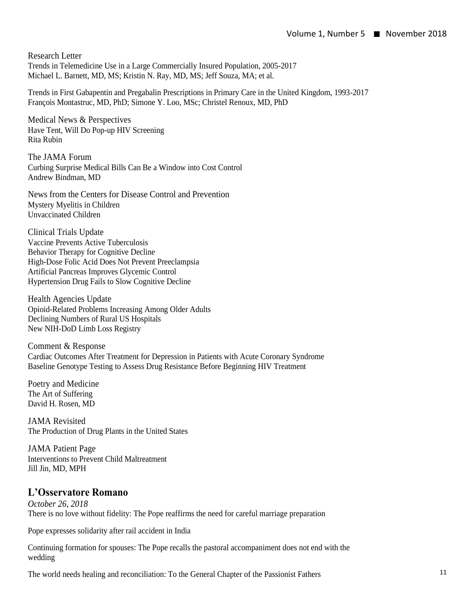Research Letter Trends in Telemedicine Use in a Large Commercially Insured Population, 2005-2017 Michael L. Barnett, MD, MS; Kristin N. Ray, MD, MS; Jeff Souza, MA; et al.

Trends in First Gabapentin and Pregabalin Prescriptions in Primary Care in the United Kingdom, 1993-2017 François Montastruc, MD, PhD; Simone Y. Loo, MSc; Christel Renoux, MD, PhD

Medical News & Perspectives Have Tent, Will Do Pop-up HIV Screening Rita Rubin

The JAMA Forum Curbing Surprise Medical Bills Can Be a Window into Cost Control Andrew Bindman, MD

News from the Centers for Disease Control and Prevention Mystery Myelitis in Children Unvaccinated Children

Clinical Trials Update Vaccine Prevents Active Tuberculosis Behavior Therapy for Cognitive Decline High-Dose Folic Acid Does Not Prevent Preeclampsia Artificial Pancreas Improves Glycemic Control Hypertension Drug Fails to Slow Cognitive Decline

Health Agencies Update Opioid-Related Problems Increasing Among Older Adults Declining Numbers of Rural US Hospitals New NIH-DoD Limb Loss Registry

Comment & Response Cardiac Outcomes After Treatment for Depression in Patients with Acute Coronary Syndrome Baseline Genotype Testing to Assess Drug Resistance Before Beginning HIV Treatment

Poetry and Medicine The Art of Suffering David H. Rosen, MD

JAMA Revisited The Production of Drug Plants in the United States

JAMA Patient Page Interventions to Prevent Child Maltreatment Jill Jin, MD, MPH

#### **L'Osservatore Romano**

*October 26, 2018*  There is no love without fidelity: The Pope reaffirms the need for careful marriage preparation

Pope expresses solidarity after rail accident in India

Continuing formation for spouses: The Pope recalls the pastoral accompaniment does not end with the wedding

The world needs healing and reconciliation: To the General Chapter of the Passionist Fathers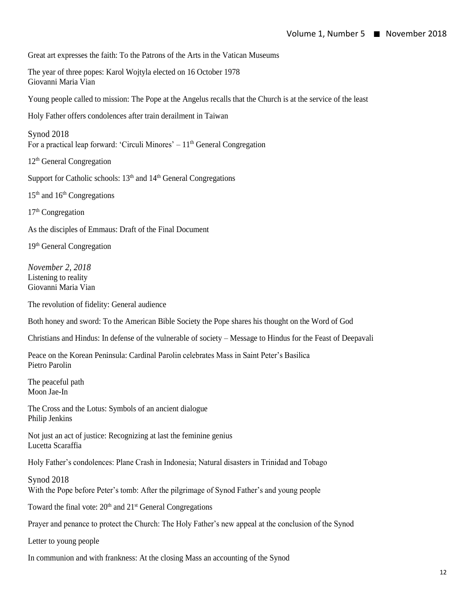Great art expresses the faith: To the Patrons of the Arts in the Vatican Museums

The year of three popes: Karol Wojtyla elected on 16 October 1978 Giovanni Maria Vian

Young people called to mission: The Pope at the Angelus recalls that the Church is at the service of the least

Holy Father offers condolences after train derailment in Taiwan

Synod 2018 For a practical leap forward: 'Circuli Minores'  $-11<sup>th</sup>$  General Congregation

12<sup>th</sup> General Congregation

Support for Catholic schools:  $13<sup>th</sup>$  and  $14<sup>th</sup>$  General Congregations

 $15<sup>th</sup>$  and  $16<sup>th</sup>$  Congregations

 $17<sup>th</sup>$  Congregation

As the disciples of Emmaus: Draft of the Final Document

19th General Congregation

*November 2, 2018* Listening to reality Giovanni Maria Vian

The revolution of fidelity: General audience

Both honey and sword: To the American Bible Society the Pope shares his thought on the Word of God

Christians and Hindus: In defense of the vulnerable of society – Message to Hindus for the Feast of Deepavali

Peace on the Korean Peninsula: Cardinal Parolin celebrates Mass in Saint Peter's Basilica Pietro Parolin

The peaceful path Moon Jae-In

The Cross and the Lotus: Symbols of an ancient dialogue Philip Jenkins

Not just an act of justice: Recognizing at last the feminine genius Lucetta Scaraffia

Holy Father's condolences: Plane Crash in Indonesia; Natural disasters in Trinidad and Tobago

Synod 2018 With the Pope before Peter's tomb: After the pilgrimage of Synod Father's and young people

Toward the final vote:  $20<sup>th</sup>$  and  $21<sup>st</sup>$  General Congregations

Prayer and penance to protect the Church: The Holy Father's new appeal at the conclusion of the Synod

Letter to young people

In communion and with frankness: At the closing Mass an accounting of the Synod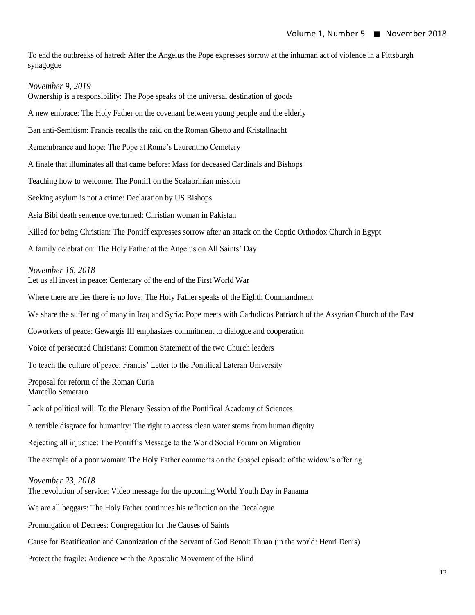To end the outbreaks of hatred: After the Angelus the Pope expresses sorrow at the inhuman act of violence in a Pittsburgh synagogue

#### *November 9, 2019*

Ownership is a responsibility: The Pope speaks of the universal destination of goods A new embrace: The Holy Father on the covenant between young people and the elderly Ban anti-Semitism: Francis recalls the raid on the Roman Ghetto and Kristallnacht Remembrance and hope: The Pope at Rome's Laurentino Cemetery A finale that illuminates all that came before: Mass for deceased Cardinals and Bishops Teaching how to welcome: The Pontiff on the Scalabrinian mission Seeking asylum is not a crime: Declaration by US Bishops Asia Bibi death sentence overturned: Christian woman in Pakistan Killed for being Christian: The Pontiff expresses sorrow after an attack on the Coptic Orthodox Church in Egypt A family celebration: The Holy Father at the Angelus on All Saints' Day *November 16, 2018* Let us all invest in peace: Centenary of the end of the First World War Where there are lies there is no love: The Holy Father speaks of the Eighth Commandment We share the suffering of many in Iraq and Syria: Pope meets with Carholicos Patriarch of the Assyrian Church of the East Coworkers of peace: Gewargis III emphasizes commitment to dialogue and cooperation Voice of persecuted Christians: Common Statement of the two Church leaders To teach the culture of peace: Francis' Letter to the Pontifical Lateran University Proposal for reform of the Roman Curia Marcello Semeraro Lack of political will: To the Plenary Session of the Pontifical Academy of Sciences A terrible disgrace for humanity: The right to access clean water stems from human dignity Rejecting all injustice: The Pontiff's Message to the World Social Forum on Migration The example of a poor woman: The Holy Father comments on the Gospel episode of the widow's offering *November 23, 2018* The revolution of service: Video message for the upcoming World Youth Day in Panama We are all beggars: The Holy Father continues his reflection on the Decalogue Promulgation of Decrees: Congregation for the Causes of Saints Cause for Beatification and Canonization of the Servant of God Benoit Thuan (in the world: Henri Denis)

Protect the fragile: Audience with the Apostolic Movement of the Blind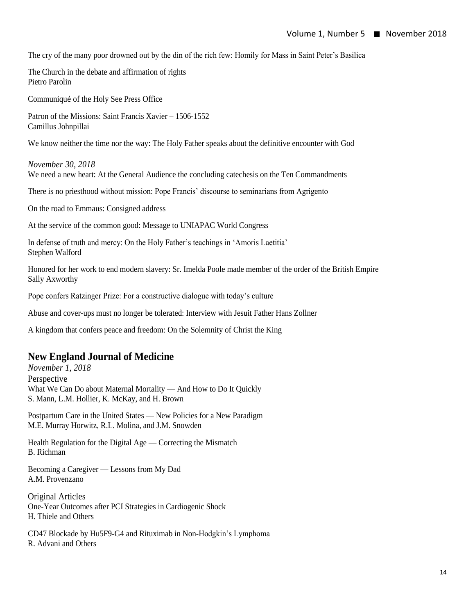The cry of the many poor drowned out by the din of the rich few: Homily for Mass in Saint Peter's Basilica

The Church in the debate and affirmation of rights Pietro Parolin

Communiqué of the Holy See Press Office

Patron of the Missions: Saint Francis Xavier – 1506-1552 Camillus Johnpillai

We know neither the time nor the way: The Holy Father speaks about the definitive encounter with God

*November 30, 2018* We need a new heart: At the General Audience the concluding catechesis on the Ten Commandments

There is no priesthood without mission: Pope Francis' discourse to seminarians from Agrigento

On the road to Emmaus: Consigned address

At the service of the common good: Message to UNIAPAC World Congress

In defense of truth and mercy: On the Holy Father's teachings in 'Amoris Laetitia' Stephen Walford

Honored for her work to end modern slavery: Sr. Imelda Poole made member of the order of the British Empire Sally Axworthy

Pope confers Ratzinger Prize: For a constructive dialogue with today's culture

Abuse and cover-ups must no longer be tolerated: Interview with Jesuit Father Hans Zollner

A kingdom that confers peace and freedom: On the Solemnity of Christ the King

#### **New England Journal of Medicine**

*November 1, 2018* Perspective What We Can Do about Maternal Mortality — And How to Do It Quickly S. Mann, L.M. Hollier, K. McKay, and H. Brown

Postpartum Care in the United States — New Policies for a New Paradigm M.E. Murray Horwitz, R.L. Molina, and J.M. Snowden

Health Regulation for the Digital Age — Correcting the Mismatch B. Richman

Becoming a Caregiver — Lessons from My Dad A.M. Provenzano

Original Articles One-Year Outcomes after PCI Strategies in Cardiogenic Shock H. Thiele and Others

CD47 Blockade by Hu5F9-G4 and Rituximab in Non-Hodgkin's Lymphoma R. Advani and Others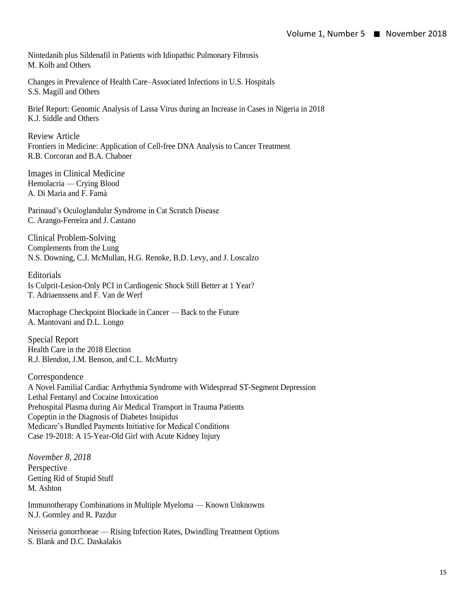Nintedanib plus Sildenafil in Patients with Idiopathic Pulmonary Fibrosis M. Kolb and Others

Changes in Prevalence of Health Care–Associated Infections in U.S. Hospitals S.S. Magill and Others

Brief Report: Genomic Analysis of Lassa Virus during an Increase in Cases in Nigeria in 2018 K.J. Siddle and Others

Review Article Frontiers in Medicine: Application of Cell-free DNA Analysis to Cancer Treatment R.B. Corcoran and B.A. Chabner

Images in Clinical Medicine Hemolacria — Crying Blood A. Di Maria and F. Famà

Parinaud's Oculoglandular Syndrome in Cat Scratch Disease C. Arango-Ferreira and J. Castano

Clinical Problem-Solving Complements from the Lung N.S. Downing, C.J. McMullan, H.G. Rennke, B.D. Levy, and J. Loscalzo

Editorials Is Culprit-Lesion-Only PCI in Cardiogenic Shock Still Better at 1 Year? T. Adriaenssens and F. Van de Werf

Macrophage Checkpoint Blockade in Cancer — Back to the Future A. Mantovani and D.L. Longo

Special Report Health Care in the 2018 Election R.J. Blendon, J.M. Benson, and C.L. McMurtry

Correspondence A Novel Familial Cardiac Arrhythmia Syndrome with Widespread ST-Segment Depression Lethal Fentanyl and Cocaine Intoxication Prehospital Plasma during Air Medical Transport in Trauma Patients Copeptin in the Diagnosis of Diabetes Insipidus Medicare's Bundled Payments Initiative for Medical Conditions Case 19-2018: A 15-Year-Old Girl with Acute Kidney Injury

*November 8, 2018* Perspective Getting Rid of Stupid Stuff M. Ashton

Immunotherapy Combinations in Multiple Myeloma — Known Unknowns N.J. Gormley and R. Pazdur

Neisseria gonorrhoeae — Rising Infection Rates, Dwindling Treatment Options S. Blank and D.C. Daskalakis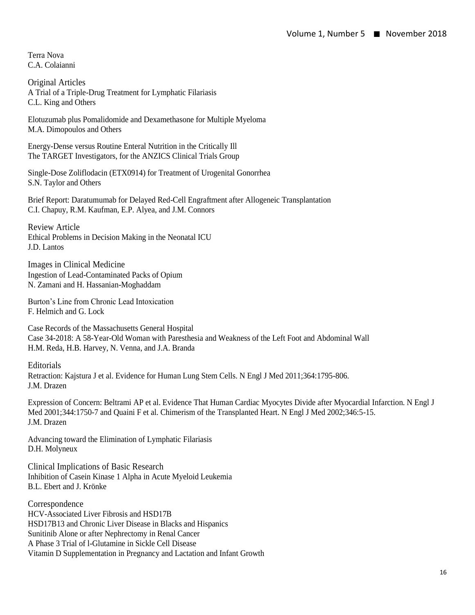Terra Nova C.A. Colaianni

Original Articles A Trial of a Triple-Drug Treatment for Lymphatic Filariasis C.L. King and Others

Elotuzumab plus Pomalidomide and Dexamethasone for Multiple Myeloma M.A. Dimopoulos and Others

Energy-Dense versus Routine Enteral Nutrition in the Critically Ill The TARGET Investigators, for the ANZICS Clinical Trials Group

Single-Dose Zoliflodacin (ETX0914) for Treatment of Urogenital Gonorrhea S.N. Taylor and Others

Brief Report: Daratumumab for Delayed Red-Cell Engraftment after Allogeneic Transplantation C.I. Chapuy, R.M. Kaufman, E.P. Alyea, and J.M. Connors

Review Article Ethical Problems in Decision Making in the Neonatal ICU J.D. Lantos

Images in Clinical Medicine Ingestion of Lead-Contaminated Packs of Opium N. Zamani and H. Hassanian-Moghaddam

Burton's Line from Chronic Lead Intoxication F. Helmich and G. Lock

Case Records of the Massachusetts General Hospital Case 34-2018: A 58-Year-Old Woman with Paresthesia and Weakness of the Left Foot and Abdominal Wall H.M. Reda, H.B. Harvey, N. Venna, and J.A. Branda

**Editorials** Retraction: Kajstura J et al. Evidence for Human Lung Stem Cells. N Engl J Med 2011;364:1795-806. J.M. Drazen

Expression of Concern: Beltrami AP et al. Evidence That Human Cardiac Myocytes Divide after Myocardial Infarction. N Engl J Med 2001;344:1750-7 and Quaini F et al. Chimerism of the Transplanted Heart. N Engl J Med 2002;346:5-15. J.M. Drazen

Advancing toward the Elimination of Lymphatic Filariasis D.H. Molyneux

Clinical Implications of Basic Research Inhibition of Casein Kinase 1 Alpha in Acute Myeloid Leukemia B.L. Ebert and J. Krönke

Correspondence HCV-Associated Liver Fibrosis and HSD17B HSD17B13 and Chronic Liver Disease in Blacks and Hispanics Sunitinib Alone or after Nephrectomy in Renal Cancer A Phase 3 Trial of l-Glutamine in Sickle Cell Disease Vitamin D Supplementation in Pregnancy and Lactation and Infant Growth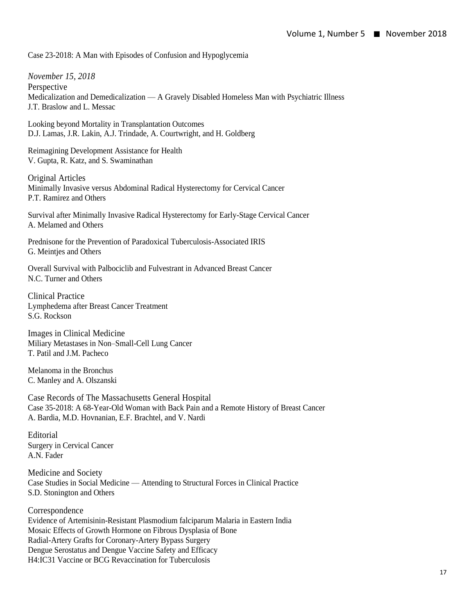Case 23-2018: A Man with Episodes of Confusion and Hypoglycemia

*November 15, 2018* Perspective Medicalization and Demedicalization — A Gravely Disabled Homeless Man with Psychiatric Illness J.T. Braslow and L. Messac

Looking beyond Mortality in Transplantation Outcomes D.J. Lamas, J.R. Lakin, A.J. Trindade, A. Courtwright, and H. Goldberg

Reimagining Development Assistance for Health V. Gupta, R. Katz, and S. Swaminathan

Original Articles Minimally Invasive versus Abdominal Radical Hysterectomy for Cervical Cancer P.T. Ramirez and Others

Survival after Minimally Invasive Radical Hysterectomy for Early-Stage Cervical Cancer A. Melamed and Others

Prednisone for the Prevention of Paradoxical Tuberculosis-Associated IRIS G. Meintjes and Others

Overall Survival with Palbociclib and Fulvestrant in Advanced Breast Cancer N.C. Turner and Others

Clinical Practice Lymphedema after Breast Cancer Treatment S.G. Rockson

Images in Clinical Medicine Miliary Metastases in Non–Small-Cell Lung Cancer T. Patil and J.M. Pacheco

Melanoma in the Bronchus C. Manley and A. Olszanski

Case Records of The Massachusetts General Hospital Case 35-2018: A 68-Year-Old Woman with Back Pain and a Remote History of Breast Cancer A. Bardia, M.D. Hovnanian, E.F. Brachtel, and V. Nardi

Editorial Surgery in Cervical Cancer A.N. Fader

Medicine and Society Case Studies in Social Medicine — Attending to Structural Forces in Clinical Practice S.D. Stonington and Others

Correspondence Evidence of Artemisinin-Resistant Plasmodium falciparum Malaria in Eastern India Mosaic Effects of Growth Hormone on Fibrous Dysplasia of Bone Radial-Artery Grafts for Coronary-Artery Bypass Surgery Dengue Serostatus and Dengue Vaccine Safety and Efficacy H4:IC31 Vaccine or BCG Revaccination for Tuberculosis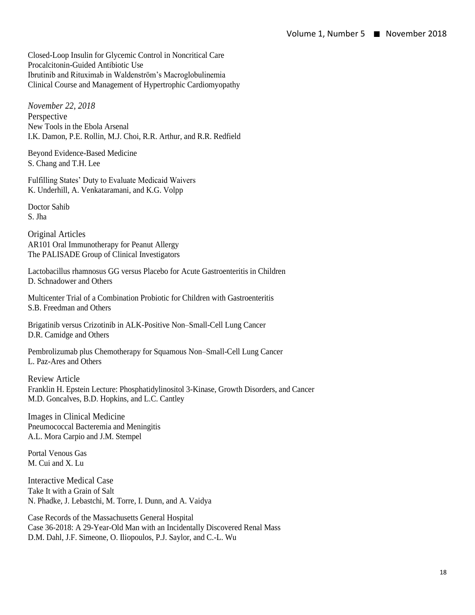Closed-Loop Insulin for Glycemic Control in Noncritical Care Procalcitonin-Guided Antibiotic Use Ibrutinib and Rituximab in Waldenström's Macroglobulinemia Clinical Course and Management of Hypertrophic Cardiomyopathy

*November 22, 2018* Perspective New Tools in the Ebola Arsenal I.K. Damon, P.E. Rollin, M.J. Choi, R.R. Arthur, and R.R. Redfield

Beyond Evidence-Based Medicine S. Chang and T.H. Lee

Fulfilling States' Duty to Evaluate Medicaid Waivers K. Underhill, A. Venkataramani, and K.G. Volpp

Doctor Sahib S. Jha

Original Articles AR101 Oral Immunotherapy for Peanut Allergy The PALISADE Group of Clinical Investigators

Lactobacillus rhamnosus GG versus Placebo for Acute Gastroenteritis in Children D. Schnadower and Others

Multicenter Trial of a Combination Probiotic for Children with Gastroenteritis S.B. Freedman and Others

Brigatinib versus Crizotinib in ALK-Positive Non–Small-Cell Lung Cancer D.R. Camidge and Others

Pembrolizumab plus Chemotherapy for Squamous Non–Small-Cell Lung Cancer L. Paz-Ares and Others

Review Article Franklin H. Epstein Lecture: Phosphatidylinositol 3-Kinase, Growth Disorders, and Cancer M.D. Goncalves, B.D. Hopkins, and L.C. Cantley

Images in Clinical Medicine Pneumococcal Bacteremia and Meningitis A.L. Mora Carpio and J.M. Stempel

Portal Venous Gas M. Cui and X. Lu

Interactive Medical Case Take It with a Grain of Salt N. Phadke, J. Lebastchi, M. Torre, I. Dunn, and A. Vaidya

Case Records of the Massachusetts General Hospital Case 36-2018: A 29-Year-Old Man with an Incidentally Discovered Renal Mass D.M. Dahl, J.F. Simeone, O. Iliopoulos, P.J. Saylor, and C.-L. Wu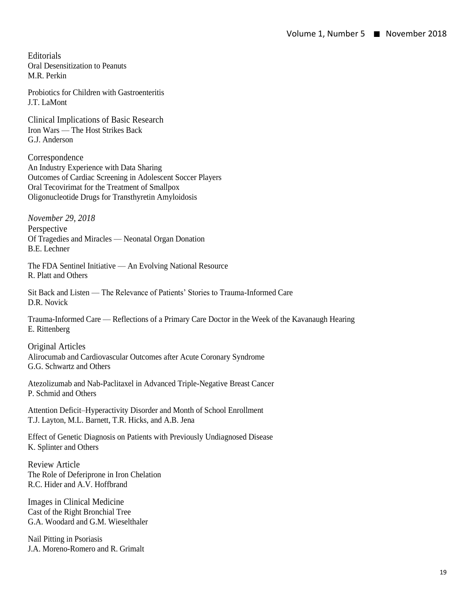**Editorials** Oral Desensitization to Peanuts M.R. Perkin

Probiotics for Children with Gastroenteritis J.T. LaMont

Clinical Implications of Basic Research Iron Wars — The Host Strikes Back G.J. Anderson

Correspondence An Industry Experience with Data Sharing Outcomes of Cardiac Screening in Adolescent Soccer Players Oral Tecovirimat for the Treatment of Smallpox Oligonucleotide Drugs for Transthyretin Amyloidosis

*November 29, 2018* Perspective Of Tragedies and Miracles — Neonatal Organ Donation B.E. Lechner

The FDA Sentinel Initiative — An Evolving National Resource R. Platt and Others

Sit Back and Listen — The Relevance of Patients' Stories to Trauma-Informed Care D.R. Novick

Trauma-Informed Care — Reflections of a Primary Care Doctor in the Week of the Kavanaugh Hearing E. Rittenberg

Original Articles Alirocumab and Cardiovascular Outcomes after Acute Coronary Syndrome G.G. Schwartz and Others

Atezolizumab and Nab-Paclitaxel in Advanced Triple-Negative Breast Cancer P. Schmid and Others

Attention Deficit–Hyperactivity Disorder and Month of School Enrollment T.J. Layton, M.L. Barnett, T.R. Hicks, and A.B. Jena

Effect of Genetic Diagnosis on Patients with Previously Undiagnosed Disease K. Splinter and Others

Review Article The Role of Deferiprone in Iron Chelation R.C. Hider and A.V. Hoffbrand

Images in Clinical Medicine Cast of the Right Bronchial Tree G.A. Woodard and G.M. Wieselthaler

Nail Pitting in Psoriasis J.A. Moreno-Romero and R. Grimalt